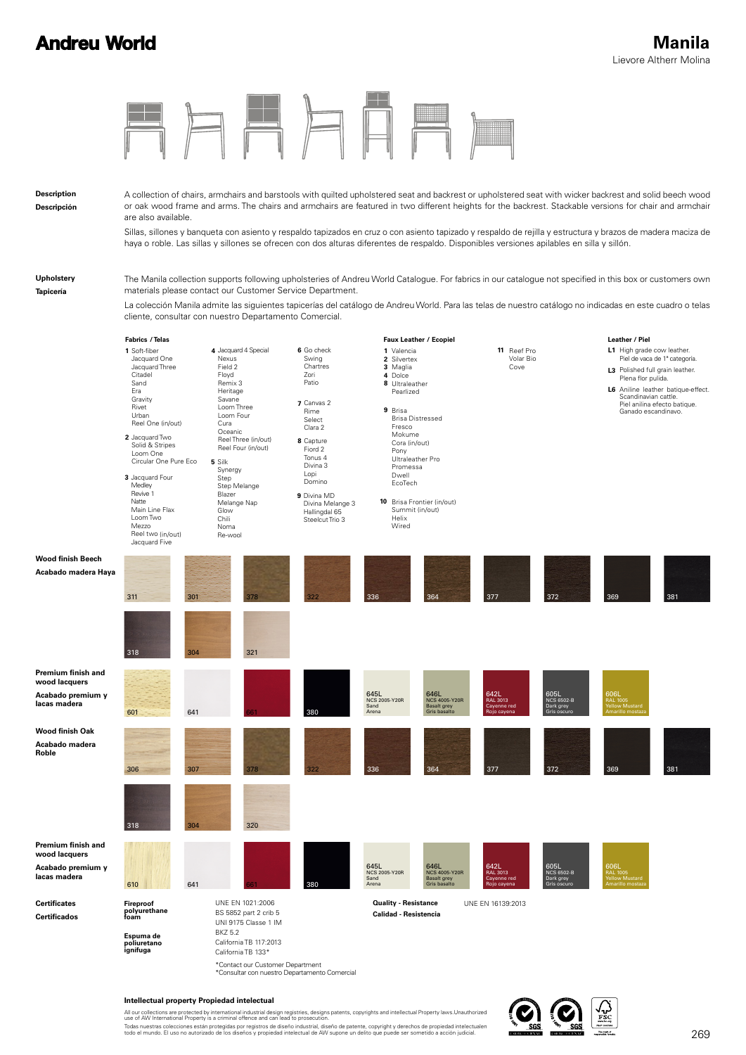## **Andreu World**

| <b>Description</b><br>Descripción                                        | are also available.                                                                            |                                                                                                  |                                                                                    | A collection of chairs, armchairs and barstools with quilted upholstered seat and backrest or upholstered seat with wicker backrest and solid beech wood<br>or oak wood frame and arms. The chairs and armchairs are featured in two different heights for the backrest. Stackable versions for chair and armchair                                                                 |                                                                                            |                                                                    |                                                |                                                       |                                                                                                                                                                                                                                           |     |
|--------------------------------------------------------------------------|------------------------------------------------------------------------------------------------|--------------------------------------------------------------------------------------------------|------------------------------------------------------------------------------------|------------------------------------------------------------------------------------------------------------------------------------------------------------------------------------------------------------------------------------------------------------------------------------------------------------------------------------------------------------------------------------|--------------------------------------------------------------------------------------------|--------------------------------------------------------------------|------------------------------------------------|-------------------------------------------------------|-------------------------------------------------------------------------------------------------------------------------------------------------------------------------------------------------------------------------------------------|-----|
|                                                                          |                                                                                                |                                                                                                  |                                                                                    | Sillas, sillones y banqueta con asiento y respaldo tapizados en cruz o con asiento tapizado y respaldo de rejilla y estructura y brazos de madera maciza de<br>haya o roble. Las sillas y sillones se ofrecen con dos alturas diferentes de respaldo. Disponibles versiones apilables en silla y sillón.                                                                           |                                                                                            |                                                                    |                                                |                                                       |                                                                                                                                                                                                                                           |     |
| Upholstery<br>Tapicería                                                  | cliente, consultar con nuestro Departamento Comercial.                                         |                                                                                                  |                                                                                    | The Manila collection supports following upholsteries of Andreu World Catalogue. For fabrics in our catalogue not specified in this box or customers own<br>materials please contact our Customer Service Department.<br>La colección Manila admite las siguientes tapicerías del catálogo de Andreu World. Para las telas de nuestro catálogo no indicadas en este cuadro o telas |                                                                                            |                                                                    |                                                |                                                       |                                                                                                                                                                                                                                           |     |
|                                                                          |                                                                                                |                                                                                                  |                                                                                    |                                                                                                                                                                                                                                                                                                                                                                                    |                                                                                            |                                                                    |                                                |                                                       |                                                                                                                                                                                                                                           |     |
|                                                                          | <b>Fabrics / Telas</b>                                                                         |                                                                                                  |                                                                                    |                                                                                                                                                                                                                                                                                                                                                                                    |                                                                                            | Faux Leather / Ecopiel                                             |                                                |                                                       | Leather / Piel                                                                                                                                                                                                                            |     |
|                                                                          | 1 Soft-fiber<br>Jacquard One<br>Jacquard Three<br>Citadel<br>Sand<br>Era<br>Gravity<br>Rivet   | 4 Jacquard 4 Special<br>Nexus<br>Field 2<br>Floyd<br>Remix 3<br>Heritage<br>Savane<br>Loom Three |                                                                                    | 6 Go check<br>Swing<br>Chartres<br>Zori<br>Patio<br>7 Canvas 2<br>Rime                                                                                                                                                                                                                                                                                                             | 1 Valencia<br>2 Silvertex<br>3 Maglia<br>4 Dolce<br>8 Ultraleather<br>Pearlized<br>9 Brisa |                                                                    | 11 Reef Pro<br>Volar Bio<br>Cove               |                                                       | L1 High grade cow leather.<br>Piel de vaca de 1ª categoría.<br>L3 Polished full grain leather.<br>Plena flor pulida.<br>L6 Aniline leather batique-effect.<br>Scandinavian cattle.<br>Piel anilina efecto batique.<br>Ganado escandinavo. |     |
|                                                                          | Urban                                                                                          | Loom Four                                                                                        |                                                                                    | Select                                                                                                                                                                                                                                                                                                                                                                             |                                                                                            | <b>Brisa Distressed</b>                                            |                                                |                                                       |                                                                                                                                                                                                                                           |     |
|                                                                          | Reel One (in/out)                                                                              | Cura<br>Oceanic                                                                                  |                                                                                    | Clara 2                                                                                                                                                                                                                                                                                                                                                                            | Fresco<br>Mokume                                                                           |                                                                    |                                                |                                                       |                                                                                                                                                                                                                                           |     |
|                                                                          | 2 Jacquard Two<br>Solid & Stripes                                                              |                                                                                                  | Reel Three (in/out)<br>Reel Four (in/out)                                          | 8 Capture<br>Fiord 2                                                                                                                                                                                                                                                                                                                                                               | Cora (in/out)                                                                              |                                                                    |                                                |                                                       |                                                                                                                                                                                                                                           |     |
|                                                                          | Loom One<br>Circular One Pure Eco                                                              | 5 Silk                                                                                           |                                                                                    | Tonus 4                                                                                                                                                                                                                                                                                                                                                                            | Pony<br>Ultraleather Pro                                                                   |                                                                    |                                                |                                                       |                                                                                                                                                                                                                                           |     |
|                                                                          |                                                                                                | Synergy                                                                                          |                                                                                    | Divina 3<br>Lopi                                                                                                                                                                                                                                                                                                                                                                   | Promessa<br>Dwell                                                                          |                                                                    |                                                |                                                       |                                                                                                                                                                                                                                           |     |
|                                                                          | 3 Jacquard Four<br>Medley                                                                      | Step<br>Step Melange                                                                             |                                                                                    | Domino                                                                                                                                                                                                                                                                                                                                                                             | EcoTech                                                                                    |                                                                    |                                                |                                                       |                                                                                                                                                                                                                                           |     |
|                                                                          | Revive 1<br>Natte<br>Main Line Flax<br>Loom Two<br>Mezzo<br>Reel two (in/out)<br>Jacquard Five | Blazer<br>Melange Nap<br>Glow<br>Chili<br>Noma<br>Re-wool                                        |                                                                                    | 9 Divina MD<br>Divina Melange 3<br>Hallingdal 65<br>Steelcut Trio 3                                                                                                                                                                                                                                                                                                                | Summit (in/out)<br>Helix<br>Wired                                                          | <b>10</b> Brisa Frontier (in/out)                                  |                                                |                                                       |                                                                                                                                                                                                                                           |     |
| Wood finish Beech                                                        |                                                                                                |                                                                                                  |                                                                                    |                                                                                                                                                                                                                                                                                                                                                                                    |                                                                                            |                                                                    |                                                |                                                       |                                                                                                                                                                                                                                           |     |
| Acabado madera Haya                                                      | 311                                                                                            | 301                                                                                              | 378                                                                                |                                                                                                                                                                                                                                                                                                                                                                                    | 336                                                                                        | 364                                                                | 377                                            | 372                                                   | 369                                                                                                                                                                                                                                       | 381 |
|                                                                          | 318                                                                                            | 304                                                                                              | 321                                                                                |                                                                                                                                                                                                                                                                                                                                                                                    |                                                                                            |                                                                    |                                                |                                                       |                                                                                                                                                                                                                                           |     |
| Premium finish and                                                       |                                                                                                |                                                                                                  |                                                                                    |                                                                                                                                                                                                                                                                                                                                                                                    |                                                                                            |                                                                    |                                                |                                                       |                                                                                                                                                                                                                                           |     |
| wood lacquers<br>Acabado premium y<br>lacas madera                       | 601                                                                                            | 641                                                                                              |                                                                                    |                                                                                                                                                                                                                                                                                                                                                                                    | 645L<br><b>NCS 2005-Y20R</b><br>Sand<br>Arena                                              | 646L<br><b>NCS 4005-Y20R</b><br><b>Basalt grey</b><br>Gris basalto | 642L<br>RAL 3013<br>Cayenne red<br>Rojo cayena | 605L<br><b>NCS 6502-B</b><br>Dark grey<br>Gris oscuro | 606L<br>RAL 1005<br>Yellow Mustard<br>marillo mosta:                                                                                                                                                                                      |     |
| Wood finish Oak<br>Acabado madera<br>Roble                               | 306                                                                                            | 307                                                                                              | 378                                                                                | 322                                                                                                                                                                                                                                                                                                                                                                                | 336                                                                                        | 364                                                                | 377                                            | 372                                                   | 369                                                                                                                                                                                                                                       | 381 |
|                                                                          | 318                                                                                            | 304                                                                                              | 320                                                                                |                                                                                                                                                                                                                                                                                                                                                                                    |                                                                                            |                                                                    |                                                |                                                       |                                                                                                                                                                                                                                           |     |
|                                                                          |                                                                                                |                                                                                                  |                                                                                    |                                                                                                                                                                                                                                                                                                                                                                                    |                                                                                            |                                                                    |                                                |                                                       |                                                                                                                                                                                                                                           |     |
| Premium finish and<br>wood lacquers<br>Acabado premium y<br>lacas madera | 610                                                                                            | 641                                                                                              |                                                                                    | 380                                                                                                                                                                                                                                                                                                                                                                                | 645L<br><b>NCS 2005-Y20R</b><br>Sand<br>Arena                                              | 646L<br>NCS 4005-Y20R<br>Basalt grey<br>Gris basalto               | 642L<br>RAL 3013<br>Cayenne red<br>Rojo cayena | 605L<br>NCS 6502-B<br>Dark grey<br>Gris oscuro        | 606 <mark>L</mark><br>RAL 1005<br>Yellow Mustard                                                                                                                                                                                          |     |
| <b>Certificates</b><br><b>Certificados</b>                               | Fireproof<br>polyurethane<br>foam                                                              |                                                                                                  | UNE EN 1021:2006<br>BS 5852 part 2 crib 5                                          |                                                                                                                                                                                                                                                                                                                                                                                    | <b>Quality - Resistance</b><br>Calidad - Resistencia                                       |                                                                    | UNE EN 16139:2013                              |                                                       |                                                                                                                                                                                                                                           |     |
|                                                                          | Espuma de<br>poliuretano<br>ignífuga                                                           | BKZ 5.2<br>California TB 133*                                                                    | UNI 9175 Classe 1 IM<br>California TB 117:2013<br>*Contact our Customer Department | *Consultar con nuestro Departamento Comercial                                                                                                                                                                                                                                                                                                                                      |                                                                                            |                                                                    |                                                |                                                       |                                                                                                                                                                                                                                           |     |

## **Intellectual property Propiedad intelectual**

All our collections are protected by international industrial design registries, designs patents, copyrights and intellectual Property laws.Unauthorized<br>Todas nuestras colleciones están protegidas por registros de diseño i

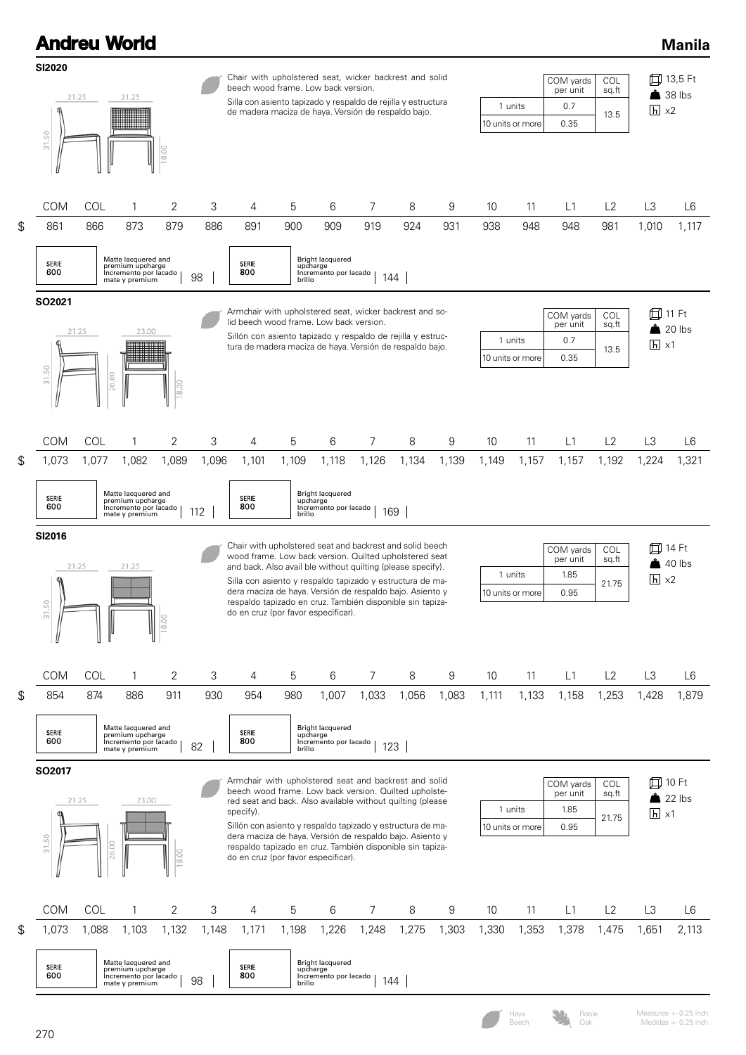| <b>Andreu World</b>                  |                   |                                                                                             |          |              |                                                                                                                                                                                                                                                                                                                                                                                                                |                 |                                                                       |          |              |          |           |                             |                                       |                       |                                             | <b>Manila</b>   |  |
|--------------------------------------|-------------------|---------------------------------------------------------------------------------------------|----------|--------------|----------------------------------------------------------------------------------------------------------------------------------------------------------------------------------------------------------------------------------------------------------------------------------------------------------------------------------------------------------------------------------------------------------------|-----------------|-----------------------------------------------------------------------|----------|--------------|----------|-----------|-----------------------------|---------------------------------------|-----------------------|---------------------------------------------|-----------------|--|
| <b>SI2020</b><br>50<br>$\frac{1}{3}$ | 21.25             | 21.25                                                                                       | 18.00    |              | Chair with upholstered seat, wicker backrest and solid<br>beech wood frame. Low back version.<br>Silla con asiento tapizado y respaldo de rejilla y estructura<br>1 units<br>de madera maciza de haya. Versión de respaldo bajo.<br>10 units or more                                                                                                                                                           |                 |                                                                       |          |              |          |           |                             |                                       |                       | □ 13,5 Ft<br>38 lbs<br>$\overline{h}$ x2    |                 |  |
| <b>COM</b><br>861                    | <b>COL</b><br>866 | 1<br>873                                                                                    | 2<br>879 | 3<br>886     | 4<br>891                                                                                                                                                                                                                                                                                                                                                                                                       | 5<br>900        | 6<br>909                                                              | 7<br>919 | 8<br>924     | 9<br>931 | 10<br>938 | 11<br>948                   | L1<br>948                             | L2<br>981             | L3<br>1,010                                 | L6<br>1,117     |  |
| SERIE<br>600                         |                   | Matte lacquered and<br>premium upcharge<br>Incremento por lacado<br>mate y premium          |          | 98           | SERIE<br>800                                                                                                                                                                                                                                                                                                                                                                                                   | brillo          | <b>Bright lacquered</b><br>upcharge<br>Incremento por lacado          |          | 144          |          |           |                             |                                       |                       |                                             |                 |  |
| SO2021<br>50<br>$\frac{1}{2}$        | 21.25<br>26.00    | 23.00                                                                                       | 18.00    |              | Armchair with upholstered seat, wicker backrest and so-<br>lid beech wood frame. Low back version.<br>Sillón con asiento tapizado y respaldo de rejilla y estruc-<br>1 units<br>tura de madera maciza de haya. Versión de respaldo bajo.<br>10 units or more                                                                                                                                                   |                 |                                                                       |          |              |          |           |                             |                                       | COL<br>sq.ft<br>13.5  | 11 Ft<br>◫<br>$20$ lbs<br>$\overline{h}$ x1 |                 |  |
| <b>COM</b>                           | COL               | 1                                                                                           | 2        | 3            | 4                                                                                                                                                                                                                                                                                                                                                                                                              | 5               | 6                                                                     | 7        | 8            | 9        | 10        | 11                          | L1                                    | L2                    | L3                                          | L6              |  |
| 1,073<br>SERIE<br>600                | 1,077             | 1,082<br>Matte lacquered and<br>premium upcharge<br>Incremento por lacado<br>mate y premium | 1,089    | 1,096<br>112 | 1,101<br>SERIE<br>800                                                                                                                                                                                                                                                                                                                                                                                          | 1,109<br>brillo | 1,118<br><b>Bright lacquered</b><br>upcharge<br>Incremento por lacado | 1,126    | 1,134<br>169 | 1,139    | 1,149     | 1,157                       | 1,157                                 | 1,192                 | 1,224                                       | 1,321           |  |
| SI2016<br>A<br>31.50                 | 21.25             | 21.25                                                                                       | 18.00    |              | Chair with upholstered seat and backrest and solid beech<br>wood frame. Low back version. Quilted upholstered seat<br>and back. Also avail ble without quilting (please specify).<br>Silla con asiento y respaldo tapizado y estructura de ma-<br>dera maciza de haya. Versión de respaldo bajo. Asiento y<br>respaldo tapizado en cruz. También disponible sin tapiza-<br>do en cruz (por favor especificar). |                 |                                                                       |          |              |          |           | 1 units<br>10 units or more | COM yards<br>per unit<br>1.85<br>0.95 | COL<br>sq.ft<br>21.75 | $\Box$<br>$\overline{h}$ x2                 | 14 Ft<br>40 lbs |  |
| <b>COM</b>                           | <b>COL</b>        | 1                                                                                           | 2        | 3            | 4                                                                                                                                                                                                                                                                                                                                                                                                              | 5               | 6                                                                     | 7        | 8            | 9        | 10        | 11                          | L1                                    | L2                    | L3                                          | L6              |  |
| 854<br>SERIE<br>600                  | 874               | 886<br>Matte lacquered and<br>premium upcharge<br>Incremento por lacado<br>mate y premium   | 911      | 930<br>82    | 954<br>SERIE<br>800                                                                                                                                                                                                                                                                                                                                                                                            | 980<br>brillo   | 1,007<br><b>Bright lacquered</b><br>upcharge<br>Incremento por lacado | 1,033    | 1,056<br>123 | 1,083    | 1,111     | 1,133                       | 1,158                                 | 1,253                 | 1,428                                       | 1,879           |  |
| SO2017                               |                   |                                                                                             |          |              | Armchair with upholstered seat and backrest and solid<br>beech wood frame. Low back version. Quilted upholste-                                                                                                                                                                                                                                                                                                 |                 |                                                                       |          |              |          |           |                             | COM yards<br>per unit                 | <b>COL</b><br>sq.ft   | 口 10 Ft                                     |                 |  |
|                                      | 21.25             | 23.00                                                                                       |          |              | red seat and back. Also available without quilting (please<br>specify).<br>Sillón con asiento y respaldo tapizado y estructura de ma-<br>dera maciza de haya. Versión de respaldo bajo. Asiento y                                                                                                                                                                                                              |                 |                                                                       |          |              |          |           | 1 units<br>10 units or more | 1.85<br>0.95                          | 21.75                 | $\overline{h}$ x1                           | 22 lbs          |  |
| 31.50                                | 26.00             |                                                                                             | 18.00    |              | respaldo tapizado en cruz. También disponible sin tapiza-<br>do en cruz (por favor especificar).                                                                                                                                                                                                                                                                                                               |                 |                                                                       |          |              |          |           |                             |                                       |                       |                                             |                 |  |



\$

\$

\$

Measures +- 0.25 inch. Medidas +- 0.25 inch.

Haya Beech

Roble Oak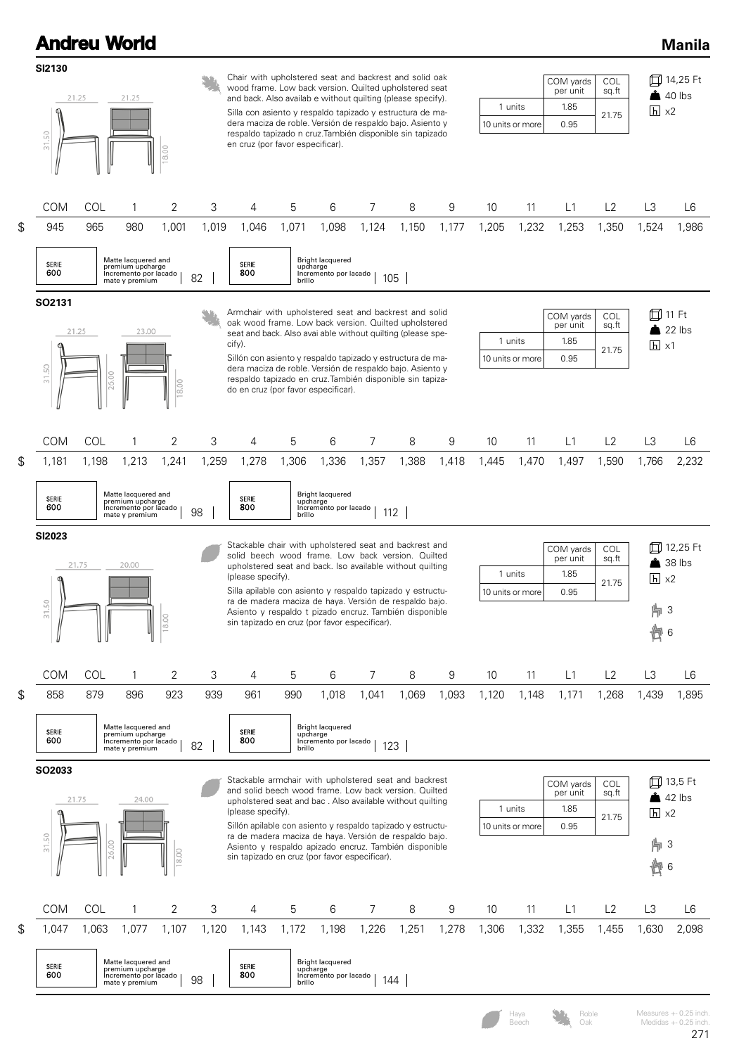| SI2130<br>50<br>$\frac{1}{2}$<br>SO2131<br>31.50 | 21.25<br>COM<br>945                                                                                                                                                                                                                                                                                                                                                                                                                                                                                        | COL<br>965                                                                                                                                                                                                | 21.25<br>8.00<br>1<br>980                                                          | $\overline{2}$<br>3 | Chair with upholstered seat and backrest and solid oak<br>wood frame. Low back version. Quilted upholstered seat<br>and back. Also availab e without quilting (please specify).<br>Silla con asiento y respaldo tapizado y estructura de ma-<br>dera maciza de roble. Versión de respaldo bajo. Asiento y<br>respaldo tapizado n cruz. También disponible sin tapizado<br>en cruz (por favor especificar). |        |                                                              |       |       |       | 10 units or more                      | 1 units               | COM yards<br>per unit<br>1.85<br>0.95            | <b>COL</b><br>sq.ft<br>21.75            |                     |                |  |
|--------------------------------------------------|------------------------------------------------------------------------------------------------------------------------------------------------------------------------------------------------------------------------------------------------------------------------------------------------------------------------------------------------------------------------------------------------------------------------------------------------------------------------------------------------------------|-----------------------------------------------------------------------------------------------------------------------------------------------------------------------------------------------------------|------------------------------------------------------------------------------------|---------------------|------------------------------------------------------------------------------------------------------------------------------------------------------------------------------------------------------------------------------------------------------------------------------------------------------------------------------------------------------------------------------------------------------------|--------|--------------------------------------------------------------|-------|-------|-------|---------------------------------------|-----------------------|--------------------------------------------------|-----------------------------------------|---------------------|----------------|--|
|                                                  |                                                                                                                                                                                                                                                                                                                                                                                                                                                                                                            |                                                                                                                                                                                                           |                                                                                    |                     |                                                                                                                                                                                                                                                                                                                                                                                                            |        |                                                              |       |       |       |                                       |                       | 口 14,25 Ft<br>$\triangle$ 40 lbs<br>$h \times 2$ |                                         |                     |                |  |
| \$                                               |                                                                                                                                                                                                                                                                                                                                                                                                                                                                                                            |                                                                                                                                                                                                           |                                                                                    |                     | 4                                                                                                                                                                                                                                                                                                                                                                                                          | 5      | 6                                                            | 7     | 8     | 9     | 10                                    | 11                    | L1                                               | L2                                      | L3                  | L6             |  |
|                                                  |                                                                                                                                                                                                                                                                                                                                                                                                                                                                                                            |                                                                                                                                                                                                           |                                                                                    | 1,001<br>1,019      | 1,046                                                                                                                                                                                                                                                                                                                                                                                                      | 1,071  | 1,098                                                        | 1,124 | 1,150 | 1,177 | 1,205                                 | 1,232                 | 1,253                                            | 1,350                                   | 1,524               | 1,986          |  |
|                                                  |                                                                                                                                                                                                                                                                                                                                                                                                                                                                                                            | <b>Bright lacquered</b><br>Matte lacquered and<br>SERIE<br>SERIE<br>premium upcharge<br>upcharge<br>600<br>800<br>Incremento por lacado<br>Incremento por lacado<br>82<br>105<br>brillo<br>mate y premium |                                                                                    |                     |                                                                                                                                                                                                                                                                                                                                                                                                            |        |                                                              |       |       |       |                                       |                       |                                                  |                                         |                     |                |  |
|                                                  |                                                                                                                                                                                                                                                                                                                                                                                                                                                                                                            |                                                                                                                                                                                                           |                                                                                    |                     | Armchair with upholstered seat and backrest and solid                                                                                                                                                                                                                                                                                                                                                      |        |                                                              |       |       |       |                                       |                       |                                                  |                                         |                     |                |  |
|                                                  | 21.25                                                                                                                                                                                                                                                                                                                                                                                                                                                                                                      |                                                                                                                                                                                                           | 23.00                                                                              |                     | oak wood frame. Low back version. Quilted upholstered<br>seat and back. Also avai able without quilting (please spe-                                                                                                                                                                                                                                                                                       |        |                                                              |       |       |       |                                       |                       | COM yards<br>per unit                            | COL<br>sq.ft                            | 囗 11 Ft<br>$22$ lbs |                |  |
|                                                  |                                                                                                                                                                                                                                                                                                                                                                                                                                                                                                            |                                                                                                                                                                                                           |                                                                                    |                     | cify).<br>Sillón con asiento y respaldo tapizado y estructura de ma-                                                                                                                                                                                                                                                                                                                                       |        |                                                              |       |       |       | 1 units<br>10 units or more           |                       | 1.85<br>0.95                                     | 21.75                                   | $\overline{h}$ x1   |                |  |
|                                                  |                                                                                                                                                                                                                                                                                                                                                                                                                                                                                                            | 6.00                                                                                                                                                                                                      |                                                                                    | 18.00               | dera maciza de roble. Versión de respaldo bajo. Asiento y<br>respaldo tapizado en cruz. También disponible sin tapiza-<br>do en cruz (por favor especificar).                                                                                                                                                                                                                                              |        |                                                              |       |       |       |                                       |                       |                                                  |                                         |                     |                |  |
| \$                                               | <b>COM</b>                                                                                                                                                                                                                                                                                                                                                                                                                                                                                                 | COL                                                                                                                                                                                                       | $\mathbf{1}$                                                                       | 2<br>3              | 4                                                                                                                                                                                                                                                                                                                                                                                                          | 5      | 6                                                            | 7     | 8     | 9     | 10                                    | 11                    | L1                                               | L2                                      | L3                  | L6             |  |
|                                                  | 1,181                                                                                                                                                                                                                                                                                                                                                                                                                                                                                                      | 1,198                                                                                                                                                                                                     | 1,213                                                                              | 1,241<br>1,259      | 1,278                                                                                                                                                                                                                                                                                                                                                                                                      | 1,306  | 1,336                                                        | 1,357 | 1,388 | 1,418 | 1,445                                 | 1,470                 | 1,497                                            | 1,590                                   | 1,766               | 2,232          |  |
|                                                  | SERIE<br>600                                                                                                                                                                                                                                                                                                                                                                                                                                                                                               |                                                                                                                                                                                                           | Matte lacquered and<br>premium upcharge<br>Incremento por lacado<br>mate y premium | 98                  | SERIE<br>800                                                                                                                                                                                                                                                                                                                                                                                               | brillo | <b>Bright lacquered</b><br>upcharge<br>Incremento por lacado | 112   |       |       |                                       |                       |                                                  |                                         |                     |                |  |
| 31.50                                            | <b>SI2023</b><br>Stackable chair with upholstered seat and backrest and<br>solid beech wood frame. Low back version. Quilted<br>21.75<br>20.00<br>upholstered seat and back. Iso available without quilting<br>1 units<br>(please specify).<br>Silla apilable con asiento y respaldo tapizado y estructu-<br>10 units or more<br>ra de madera maciza de haya. Versión de respaldo bajo.<br>Asiento y respaldo t pizado encruz. También disponible<br>8.00<br>sin tapizado en cruz (por favor especificar). |                                                                                                                                                                                                           |                                                                                    |                     |                                                                                                                                                                                                                                                                                                                                                                                                            |        |                                                              |       |       |       | COM yards<br>per unit<br>1.85<br>0.95 | COL<br>sq.ft<br>21.75 | $\overline{h}$ x2<br>   3<br>卣<br>6              | <b>□ 12,25 Ft</b><br>$\triangle$ 38 lbs |                     |                |  |
|                                                  | <b>COM</b>                                                                                                                                                                                                                                                                                                                                                                                                                                                                                                 | COL                                                                                                                                                                                                       | 1                                                                                  | 2<br>3              | 4                                                                                                                                                                                                                                                                                                                                                                                                          | 5      | 6                                                            | 7     | 8     | 9     | 10                                    | 11                    | L1                                               | L2                                      | L3                  | L <sub>6</sub> |  |
| \$                                               | 858                                                                                                                                                                                                                                                                                                                                                                                                                                                                                                        | 879                                                                                                                                                                                                       | 896                                                                                | 923<br>939          | 961                                                                                                                                                                                                                                                                                                                                                                                                        | 990    | 1,018                                                        | 1,041 | 1,069 | 1,093 | 1,120                                 | 1,148                 | 1,171                                            | 1,268                                   | 1,439               | 1,895          |  |
|                                                  | SERIE<br>600                                                                                                                                                                                                                                                                                                                                                                                                                                                                                               |                                                                                                                                                                                                           | Matte lacquered and<br>premium upcharge<br>Incremento por lacado<br>mate y premium | 82                  | SERIE<br>800                                                                                                                                                                                                                                                                                                                                                                                               | brillo | <b>Bright lacquered</b><br>upcharge<br>Incremento por lacado | 123   |       |       |                                       |                       |                                                  |                                         |                     |                |  |
|                                                  | SO2033                                                                                                                                                                                                                                                                                                                                                                                                                                                                                                     |                                                                                                                                                                                                           |                                                                                    |                     | Stackable armchair with upholstered seat and backrest                                                                                                                                                                                                                                                                                                                                                      |        |                                                              |       |       |       |                                       |                       | COM yards                                        | COL                                     |                     | 口 13,5 Ft      |  |
|                                                  | 21.75                                                                                                                                                                                                                                                                                                                                                                                                                                                                                                      |                                                                                                                                                                                                           | 24.00                                                                              |                     | and solid beech wood frame. Low back version. Quilted<br>upholstered seat and bac. Also available without quilting                                                                                                                                                                                                                                                                                         |        |                                                              |       |       |       | 1 units                               |                       | per unit<br>1.85                                 | sq.ft                                   |                     | $42$ lbs       |  |
|                                                  |                                                                                                                                                                                                                                                                                                                                                                                                                                                                                                            |                                                                                                                                                                                                           |                                                                                    |                     | (please specify).<br>Sillón apilable con asiento y respaldo tapizado y estructu-                                                                                                                                                                                                                                                                                                                           |        |                                                              |       |       |       |                                       | 10 units or more      | 0.95                                             | 21.75                                   | $h \times 2$        |                |  |
| $\overline{5}$                                   | ra de madera maciza de haya. Versión de respaldo bajo.<br>SO<br>26.00<br>Asiento y respaldo apizado encruz. También disponible<br>18.00<br>sin tapizado en cruz (por favor especificar).                                                                                                                                                                                                                                                                                                                   |                                                                                                                                                                                                           |                                                                                    |                     |                                                                                                                                                                                                                                                                                                                                                                                                            |        |                                                              |       |       |       | 片 3<br>卣<br>6                         |                       |                                                  |                                         |                     |                |  |
|                                                  | COM                                                                                                                                                                                                                                                                                                                                                                                                                                                                                                        | COL                                                                                                                                                                                                       | $\mathbf{1}$                                                                       | 2<br>3              | 4                                                                                                                                                                                                                                                                                                                                                                                                          | 5      | 6                                                            | 7     | 8     | 9     | 10                                    | 11                    | L1                                               | L2                                      | L3                  | L6             |  |
| \$                                               | 1,047                                                                                                                                                                                                                                                                                                                                                                                                                                                                                                      | 1,063                                                                                                                                                                                                     | 1,077                                                                              | 1,107<br>1,120      | 1,143                                                                                                                                                                                                                                                                                                                                                                                                      | 1,172  | 1,198                                                        | 1,226 | 1,251 | 1,278 | 1,306                                 | 1,332                 | 1,355                                            | 1,455                                   | 1,630               | 2,098          |  |
| SERIE<br>600                                     |                                                                                                                                                                                                                                                                                                                                                                                                                                                                                                            |                                                                                                                                                                                                           |                                                                                    |                     |                                                                                                                                                                                                                                                                                                                                                                                                            |        |                                                              |       |       |       |                                       |                       |                                                  |                                         |                     |                |  |

Haya Neasures +- 0.25 inch.<br>
Beech Oak Medidas +- 0.25 inch.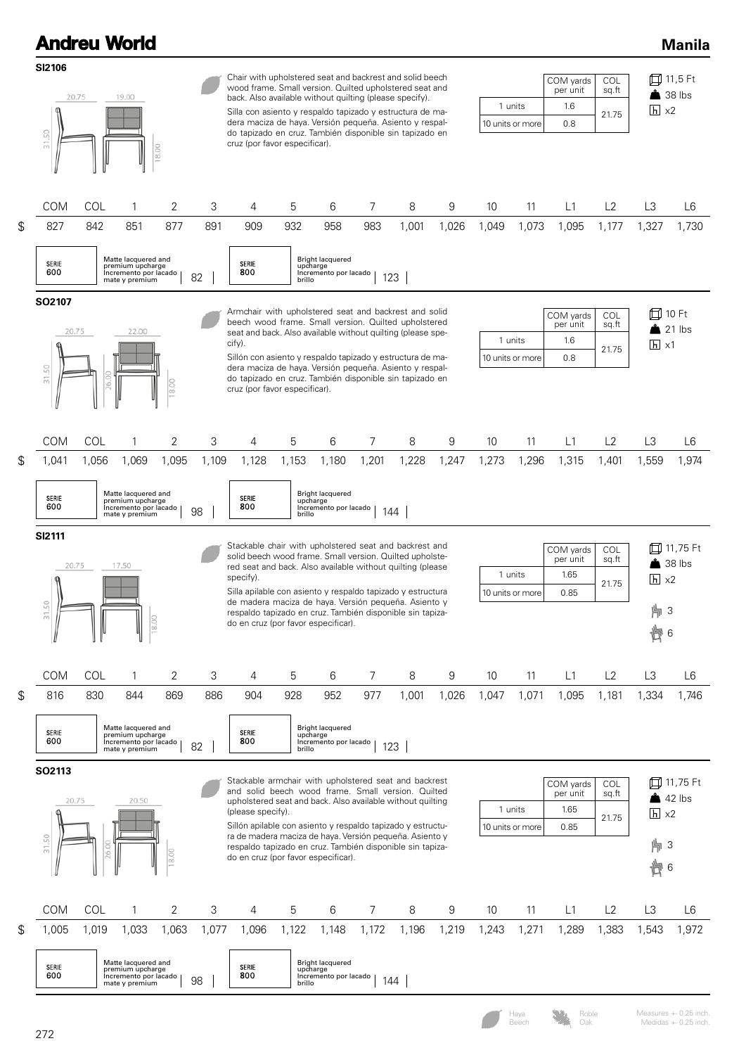| <b>Andreu World</b>                        |       |                                                                                    |       |       |                                                                                                                                                                                                                                                                                                                                                                                                                              |        |                                                       |       |       |       |                             |                                       |                                       |                                                      |                                        | <b>Manila</b>      |
|--------------------------------------------|-------|------------------------------------------------------------------------------------|-------|-------|------------------------------------------------------------------------------------------------------------------------------------------------------------------------------------------------------------------------------------------------------------------------------------------------------------------------------------------------------------------------------------------------------------------------------|--------|-------------------------------------------------------|-------|-------|-------|-----------------------------|---------------------------------------|---------------------------------------|------------------------------------------------------|----------------------------------------|--------------------|
| SI2106<br>20.75<br>19.00<br>31.50<br>18.00 |       |                                                                                    |       |       | Chair with upholstered seat and backrest and solid beech<br>wood frame. Small version. Quilted upholstered seat and<br>back. Also available without quilting (please specify).<br>Silla con asiento y respaldo tapizado y estructura de ma-<br>dera maciza de haya. Versión pequeña. Asiento y respal-<br>do tapizado en cruz. También disponible sin tapizado en<br>cruz (por favor especificar).                           |        |                                                       |       |       |       | 1 units<br>10 units or more | COM yards<br>per unit<br>1.6<br>0.8   | COL<br>sq.ft<br>21.75                 | 口 11,5 Ft<br>$\triangle$ 38 lbs<br>$\overline{h}$ x2 |                                        |                    |
| <b>COM</b>                                 | COL   | 1                                                                                  | 2     | 3     | 4                                                                                                                                                                                                                                                                                                                                                                                                                            | 5      | 6                                                     | 7     | 8     | 9     | 10                          | 11                                    | L1                                    | L2                                                   | L3                                     | L6                 |
| \$<br>827                                  | 842   | 851                                                                                | 877   | 891   | 909                                                                                                                                                                                                                                                                                                                                                                                                                          | 932    | 958                                                   | 983   | 1,001 | 1,026 | 1,049                       | 1,073                                 | 1,095                                 | 1,177                                                | 1,327                                  | 1,730              |
| <b>SERIE</b><br>600                        |       | Matte lacquered and<br>premium upcharge<br>Incremento por lacado<br>mate y premium |       | 82    | SERIE<br>800                                                                                                                                                                                                                                                                                                                                                                                                                 | brillo | Bright lacquered<br>upcharge<br>Incremento por lacado |       | 123   |       |                             |                                       |                                       |                                                      |                                        |                    |
| SO2107<br>20.75<br>31.50                   |       | 22.00                                                                              | 18.00 |       | Armchair with upholstered seat and backrest and solid<br>beech wood frame. Small version. Quilted upholstered<br>seat and back. Also available without quilting (please spe-<br>cify).<br>Sillón con asiento y respaldo tapizado y estructura de ma-<br>dera maciza de haya. Versión pequeña. Asiento y respal-<br>do tapizado en cruz. También disponible sin tapizado en<br>cruz (por favor especificar).                  |        |                                                       |       |       |       |                             | 1 units<br>10 units or more           | COM yards<br>per unit<br>1.6<br>0.8   | COL<br>sq.ft<br>21.75                                | $\overline{h}$ x1                      | 10 Ft<br>21 lbs    |
| <b>COM</b>                                 | COL   | 1                                                                                  | 2     | 3     | 4                                                                                                                                                                                                                                                                                                                                                                                                                            | 5      | 6                                                     | 7     | 8     | 9     | 10                          | 11                                    | L1                                    | L2                                                   | L3                                     | L6                 |
| \$<br>1,041                                | 1,056 | 1,069                                                                              | 1,095 | 1,109 | 1,128                                                                                                                                                                                                                                                                                                                                                                                                                        | 1,153  | 1,180                                                 | 1,201 | 1,228 | 1,247 | 1,273                       | 1,296                                 | 1,315                                 | 1,401                                                | 1,559                                  | 1,974              |
| SERIE<br>600                               |       | Matte lacquered and<br>premium upcharge<br>Incremento por lacado<br>mate y premium |       | 98    | SERIE<br>800                                                                                                                                                                                                                                                                                                                                                                                                                 | brillo | Bright lacquered<br>upcharge<br>Incremento por lacado |       | 144   |       |                             |                                       |                                       |                                                      |                                        |                    |
| <b>SI2111</b><br>20.75<br>31.50            |       | 17.50                                                                              | 18.00 |       | Stackable chair with upholstered seat and backrest and<br>solid beech wood frame. Small version. Quilted upholste-<br>red seat and back. Also available without quilting (please<br>specify).<br>Silla apilable con asiento y respaldo tapizado y estructura<br>de madera maciza de haya. Versión pequeña. Asiento y<br>respaldo tapizado en cruz. También disponible sin tapiza-<br>do en cruz (por favor especificar).     |        |                                                       |       |       |       |                             | 1 units<br>10 units or more           | COM yards<br>per unit<br>1.65<br>0.85 | COL<br>sq.ft<br>21.75                                | ⋔<br>$\overline{h}$ x2<br>。3<br>尚<br>6 | 11,75 Ft<br>38 lbs |
| COM                                        | COL   | 1                                                                                  | 2     | 3     | 4                                                                                                                                                                                                                                                                                                                                                                                                                            | 5      | 6                                                     | 7     | 8     | 9     | 10                          | 11                                    | L1                                    | L2                                                   | L3                                     | L <sub>6</sub>     |
| \$<br>816                                  | 830   | 844                                                                                | 869   | 886   | 904                                                                                                                                                                                                                                                                                                                                                                                                                          | 928    | 952                                                   | 977   | 1,001 | 1,026 | 1,047                       | 1,071                                 | 1,095                                 | 1,181                                                | 1,334                                  | 1,746              |
| SERIE<br>600                               |       | Matte lacquered and<br>premium upcharge<br>Incremento por lacado<br>mate y premium |       | 82    | SERIE<br>800                                                                                                                                                                                                                                                                                                                                                                                                                 | brillo | Bright lacquered<br>upcharge<br>Incremento por lacado |       | 123   |       |                             |                                       |                                       |                                                      |                                        |                    |
| SO2113<br>31.50                            | 20.75 | 20.50                                                                              | 18.00 |       | Stackable armchair with upholstered seat and backrest<br>and solid beech wood frame. Small version. Quilted<br>upholstered seat and back. Also available without quilting<br>(please specify).<br>Sillón apilable con asiento y respaldo tapizado y estructu-<br>ra de madera maciza de haya. Versión pequeña. Asiento y<br>respaldo tapizado en cruz. También disponible sin tapiza-<br>do en cruz (por favor especificar). |        |                                                       |       |       |       | 1 units<br>10 units or more | COM yards<br>per unit<br>1.65<br>0.85 | COL<br>sq.ft<br>21.75                 | $\overline{h}$ x2<br>   3<br>卣<br>6                  | 口 11,75 Ft<br>$42$ lbs                 |                    |
| COM                                        | COL   | 1                                                                                  | 2     | 3     | 4                                                                                                                                                                                                                                                                                                                                                                                                                            | 5      | 6                                                     | 7     | 8     | 9     | 10                          | 11                                    | L1                                    | L2                                                   | L3                                     | L6                 |
| \$<br>1,005                                | 1,019 | 1,033                                                                              | 1,063 | 1,077 | 1,096                                                                                                                                                                                                                                                                                                                                                                                                                        | 1,122  | 1,148                                                 | 1,172 | 1,196 | 1,219 | 1,243                       | 1,271                                 | 1,289                                 | 1,383                                                | 1,543                                  | 1,972              |
| SERIE<br>600                               |       | Matte lacquered and<br>premium upcharge<br>Incremento por lacado<br>mate y premium |       | 98    | SERIE<br>800                                                                                                                                                                                                                                                                                                                                                                                                                 | brillo | Bright lacquered<br>upcharge<br>Incremento por lacado |       | 144   |       |                             |                                       |                                       |                                                      |                                        |                    |
|                                            |       |                                                                                    |       |       |                                                                                                                                                                                                                                                                                                                                                                                                                              |        |                                                       |       |       |       |                             |                                       |                                       |                                                      |                                        |                    |

272

Haya Neasures +- 0.25 inch.<br>
Beech Oak Medidas +- 0.25 inch.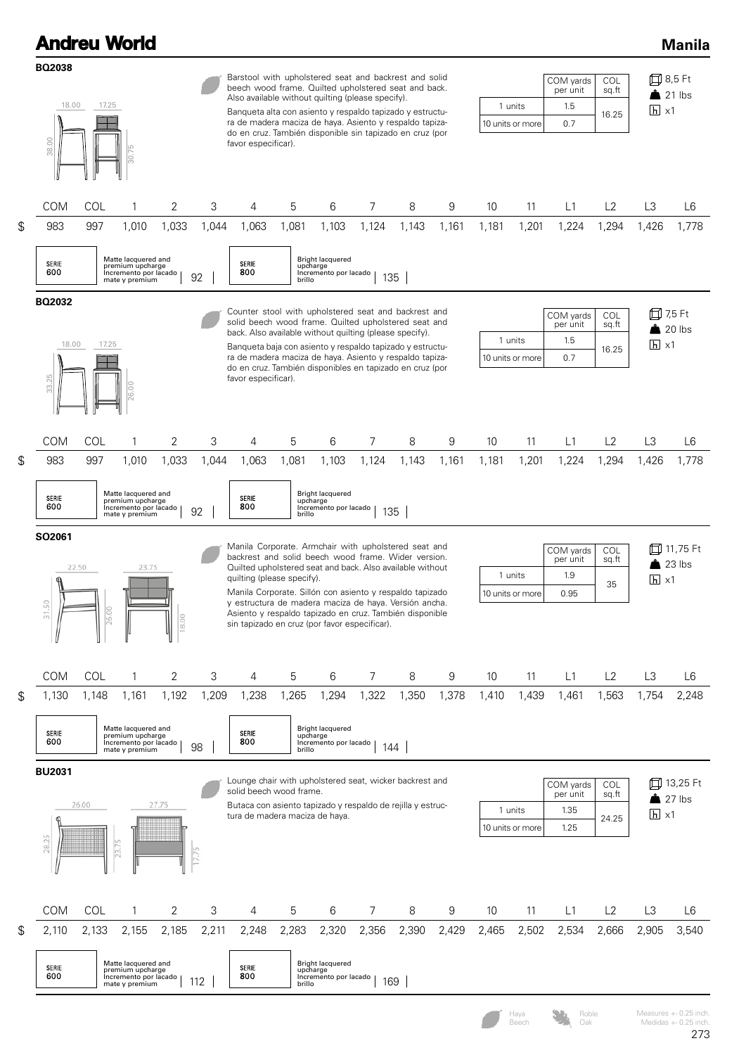| <b>Andreu World</b>                                        |       |                                                                                    |                |                                                                                                                                                                                                                                                                                                                                                                               |                                                                                                                                                                                                                                                                                                                                                                                                                                         |        |                                                              |       |       |                                          |                                                     |                                          |                                                     |                              |                          | <b>Manila</b>                                   |
|------------------------------------------------------------|-------|------------------------------------------------------------------------------------|----------------|-------------------------------------------------------------------------------------------------------------------------------------------------------------------------------------------------------------------------------------------------------------------------------------------------------------------------------------------------------------------------------|-----------------------------------------------------------------------------------------------------------------------------------------------------------------------------------------------------------------------------------------------------------------------------------------------------------------------------------------------------------------------------------------------------------------------------------------|--------|--------------------------------------------------------------|-------|-------|------------------------------------------|-----------------------------------------------------|------------------------------------------|-----------------------------------------------------|------------------------------|--------------------------|-------------------------------------------------|
| <b>BQ2038</b><br>18.00<br>17.25<br>38.00                   |       |                                                                                    |                | Barstool with upholstered seat and backrest and solid<br>beech wood frame. Quilted upholstered seat and back.<br>Also available without quilting (please specify).<br>Banqueta alta con asiento y respaldo tapizado y estructu-<br>ra de madera maciza de haya. Asiento y respaldo tapiza-<br>do en cruz. También disponible sin tapizado en cruz (por<br>favor especificar). |                                                                                                                                                                                                                                                                                                                                                                                                                                         |        |                                                              |       |       | COM yards<br>1 units<br>10 units or more | 口 8,5 Ft<br>$\triangle$ 21 lbs<br>$\overline{h}$ x1 |                                          |                                                     |                              |                          |                                                 |
| <b>COM</b>                                                 | COL   | 1                                                                                  | 2              | 3                                                                                                                                                                                                                                                                                                                                                                             | 4                                                                                                                                                                                                                                                                                                                                                                                                                                       | 5      | 6                                                            | 7     | 8     | 9                                        | 10                                                  | 11                                       | L1                                                  | L2                           | L <sub>3</sub>           | L6                                              |
| \$<br>983                                                  | 997   | 1,010                                                                              | 1,033          | 1,044                                                                                                                                                                                                                                                                                                                                                                         | 1,063                                                                                                                                                                                                                                                                                                                                                                                                                                   | 1,081  | 1,103                                                        | 1,124 | 1,143 | 1,161                                    | 1,181                                               | 1,201                                    | 1,224                                               | 1,294                        | 1,426                    | 1,778                                           |
| <b>SERIE</b><br>600                                        |       | Matte lacquered and<br>premium upcharge<br>Incremento por lacado<br>mate y premium |                | 92                                                                                                                                                                                                                                                                                                                                                                            | SERIE<br>800                                                                                                                                                                                                                                                                                                                                                                                                                            | brillo | <b>Bright lacquered</b><br>upcharge<br>Incremento por lacado | 135   |       |                                          |                                                     |                                          |                                                     |                              |                          |                                                 |
| BQ2032<br>18.00<br>33.25                                   | 17.25 |                                                                                    |                |                                                                                                                                                                                                                                                                                                                                                                               | Counter stool with upholstered seat and backrest and<br>solid beech wood frame. Quilted upholstered seat and<br>back. Also available without quilting (please specify).<br>Banqueta baja con asiento y respaldo tapizado y estructu-<br>ra de madera maciza de haya. Asiento y respaldo tapiza-<br>do en cruz. También disponibles en tapizado en cruz (por<br>favor especificar).                                                      |        |                                                              |       |       |                                          |                                                     | 1 units<br>10 units or more              | COM yards<br>per unit<br>1.5<br>0.7                 | <b>COL</b><br>sq.ft<br>16.25 | 口 7,5 Ft<br>$h \times 1$ | $20$ lbs                                        |
| COM                                                        | COL   | $\mathbf{1}$                                                                       | $\overline{2}$ | 3                                                                                                                                                                                                                                                                                                                                                                             | 4                                                                                                                                                                                                                                                                                                                                                                                                                                       | 5      | 6                                                            | 7     | 8     | 9                                        | 10                                                  | 11                                       | L1                                                  | L2                           | L <sub>3</sub>           | L6                                              |
| \$<br>983                                                  | 997   | 1,010                                                                              | 1,033          | 1,044                                                                                                                                                                                                                                                                                                                                                                         | 1,063                                                                                                                                                                                                                                                                                                                                                                                                                                   | 1,081  | 1,103                                                        | 1,124 | 1,143 | 1,161                                    | 1,181                                               | 1,201                                    | 1,224                                               | 1,294                        | 1,426                    | 1,778                                           |
| <b>SERIE</b><br>600                                        |       | Matte lacquered and<br>premium upcharge<br>Incremento por lacado<br>mate y premium |                | 92                                                                                                                                                                                                                                                                                                                                                                            | <b>SERIE</b><br>800                                                                                                                                                                                                                                                                                                                                                                                                                     | brillo | <b>Bright lacquered</b><br>upcharge<br>Incremento por lacado | 135   |       |                                          |                                                     |                                          |                                                     |                              |                          |                                                 |
| SO2061<br>22.50<br>23.75<br>S<br>26.00<br>$\frac{8.00}{2}$ |       |                                                                                    |                |                                                                                                                                                                                                                                                                                                                                                                               | Manila Corporate. Armchair with upholstered seat and<br>backrest and solid beech wood frame. Wider version.<br>Quilted upholstered seat and back. Also available without<br>quilting (please specify).<br>Manila Corporate. Sillón con asiento y respaldo tapizado<br>y estructura de madera maciza de haya. Versión ancha.<br>Asiento y respaldo tapizado en cruz. También disponible<br>sin tapizado en cruz (por favor especificar). |        |                                                              |       |       |                                          |                                                     | COM yards<br>1 units<br>10 units or more | f <b></b> 11,75 Ft<br>$23$ lbs<br>$\overline{h}$ x1 |                              |                          |                                                 |
| COM                                                        | COL   | 1                                                                                  | 2              | 3                                                                                                                                                                                                                                                                                                                                                                             | 4                                                                                                                                                                                                                                                                                                                                                                                                                                       | 5      | 6                                                            | 7     | 8     | 9                                        | 10                                                  | 11                                       | L1                                                  | L2                           | L3                       | L6                                              |
| \$<br>1,130                                                | 1,148 | 1,161                                                                              | 1,192          | 1,209                                                                                                                                                                                                                                                                                                                                                                         | 1,238                                                                                                                                                                                                                                                                                                                                                                                                                                   | 1,265  | 1,294                                                        | 1,322 | 1,350 | 1,378                                    | 1,410                                               | 1,439                                    | 1,461                                               | 1,563                        | 1,754                    | 2,248                                           |
| SERIE<br>600                                               |       | Matte lacquered and<br>premium upcharge<br>Incremento por lacado<br>mate y premium |                | 98                                                                                                                                                                                                                                                                                                                                                                            | SERIE<br>800                                                                                                                                                                                                                                                                                                                                                                                                                            | brillo | <b>Bright lacquered</b><br>upcharge<br>Incremento por lacado | 144   |       |                                          |                                                     |                                          |                                                     |                              |                          |                                                 |
| <b>BU2031</b><br>28.25                                     | 26.00 |                                                                                    | 27.75          |                                                                                                                                                                                                                                                                                                                                                                               | Lounge chair with upholstered seat, wicker backrest and<br>solid beech wood frame.<br>Butaca con asiento tapizado y respaldo de rejilla y estruc-<br>tura de madera maciza de haya.                                                                                                                                                                                                                                                     |        |                                                              |       |       |                                          |                                                     | 1 units<br>10 units or more              | COM yards<br>per unit<br>1.35<br>1.25               | COL<br>sq.ft<br>24.25        | $\overline{h}$ x1        | 口 13,25 Ft<br>$\frac{1}{27}$ lbs                |
| COM                                                        | COL   | 1                                                                                  | 2              | 3                                                                                                                                                                                                                                                                                                                                                                             | 4                                                                                                                                                                                                                                                                                                                                                                                                                                       | 5      | 6                                                            | 7     | 8     | 9                                        | 10                                                  | 11                                       | L1                                                  | L2                           | L <sub>3</sub>           | L6                                              |
| \$<br>2,110                                                | 2,133 | 2,155                                                                              | 2,185          | 2,211                                                                                                                                                                                                                                                                                                                                                                         | 2,248                                                                                                                                                                                                                                                                                                                                                                                                                                   | 2,283  | 2,320                                                        | 2,356 | 2,390 | 2,429                                    | 2,465                                               | 2,502                                    | 2,534                                               | 2,666                        | 2,905                    | 3,540                                           |
| SERIE<br>600                                               |       | Matte lacquered and<br>premium upcharge<br>Incremento por lacado<br>mate y premium |                | 112                                                                                                                                                                                                                                                                                                                                                                           | SERIE<br>800                                                                                                                                                                                                                                                                                                                                                                                                                            | brillo | <b>Bright lacquered</b><br>upcharge<br>Incremento por lacado | 169   |       |                                          |                                                     |                                          |                                                     |                              |                          |                                                 |
|                                                            |       |                                                                                    |                |                                                                                                                                                                                                                                                                                                                                                                               |                                                                                                                                                                                                                                                                                                                                                                                                                                         |        |                                                              |       |       |                                          |                                                     | Haya<br>Beech                            | Roble<br>Oak                                        |                              |                          | Measures +- 0.25 inch.<br>Medidas +- 0.25 inch. |